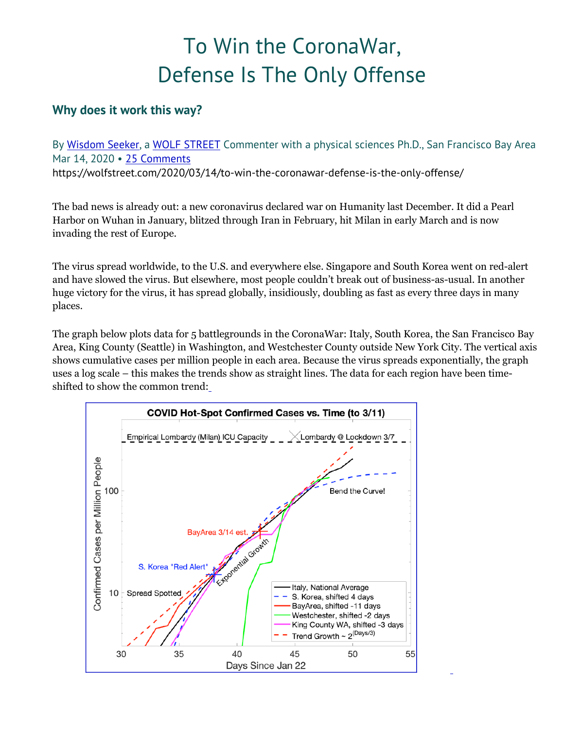## To Win the CoronaWar, Defense Is The Only Offense

## **Why does it work this way?**

By Wisdom Seeker, a WOLF STREET Commenter with a physical sciences Ph.D., San Francisco Bay Area Mar 14, 2020 • 25 Comments https://wolfstreet.com/2020/03/14/to-win-the-coronawar-defense-is-the-only-offense/

The bad news is already out: a new coronavirus declared war on Humanity last December. It did a Pearl Harbor on Wuhan in January, blitzed through Iran in February, hit Milan in early March and is now invading the rest of Europe.

The virus spread worldwide, to the U.S. and everywhere else. Singapore and South Korea went on red-alert and have slowed the virus. But elsewhere, most people couldn't break out of business-as-usual. In another huge victory for the virus, it has spread globally, insidiously, doubling as fast as every three days in many places.

The graph below plots data for 5 battlegrounds in the CoronaWar: Italy, South Korea, the San Francisco Bay Area, King County (Seattle) in Washington, and Westchester County outside New York City. The vertical axis shows cumulative cases per million people in each area. Because the virus spreads exponentially, the graph uses a log scale – this makes the trends show as straight lines. The data for each region have been timeshifted to show the common trend:

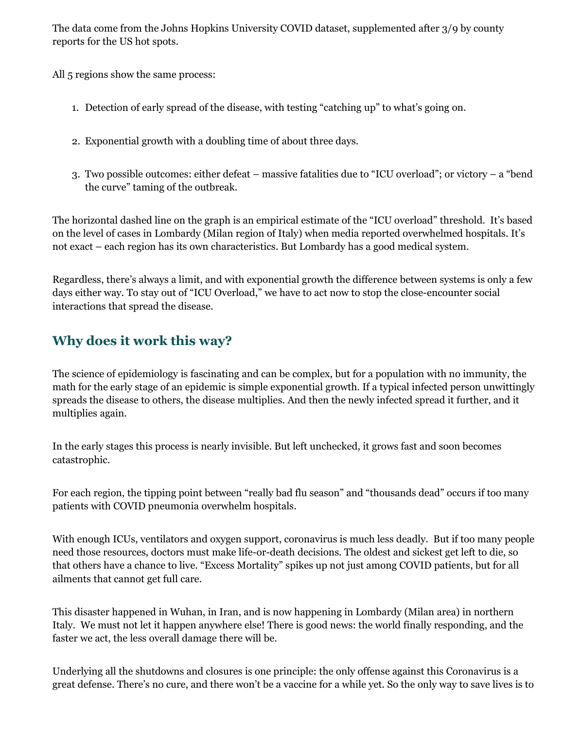The data come from the Johns Hopkins University COVID dataset, supplemented after 3/9 by county reports for the US hot spots.

All 5 regions show the same process:

- 1. Detection of early spread of the disease, with testing "catching up" to what's going on.
- 2. Exponential growth with a doubling time of about three days.
- 3. Two possible outcomes: either defeat massive fatalities due to "ICU overload"; or victory a "bend the curve" taming of the outbreak.

The horizontal dashed line on the graph is an empirical estimate of the "ICU overload" threshold. It's based on the level of cases in Lombardy (Milan region of Italy) when media reported overwhelmed hospitals. It's not exact – each region has its own characteristics. But Lombardy has a good medical system.

Regardless, there's always a limit, and with exponential growth the difference between systems is only a few days either way. To stay out of "ICU Overload," we have to act now to stop the close-encounter social interactions that spread the disease.

## **Why does it work this way?**

The science of epidemiology is fascinating and can be complex, but for a population with no immunity, the math for the early stage of an epidemic is simple exponential growth. If a typical infected person unwittingly spreads the disease to others, the disease multiplies. And then the newly infected spread it further, and it multiplies again.

In the early stages this process is nearly invisible. But left unchecked, it grows fast and soon becomes catastrophic.

For each region, the tipping point between "really bad flu season" and "thousands dead" occurs if too many patients with COVID pneumonia overwhelm hospitals.

With enough ICUs, ventilators and oxygen support, coronavirus is much less deadly. But if too many people need those resources, doctors must make life-or-death decisions. The oldest and sickest get left to die, so that others have a chance to live. "Excess Mortality" spikes up not just among COVID patients, but for all ailments that cannot get full care.

This disaster happened in Wuhan, in Iran, and is now happening in Lombardy (Milan area) in northern Italy. We must not let it happen anywhere else! There is good news: the world finally responding, and the faster we act, the less overall damage there will be.

Underlying all the shutdowns and closures is one principle: the only offense against this Coronavirus is a great defense. There's no cure, and there won't be a vaccine for a while yet. So the only way to save lives is to